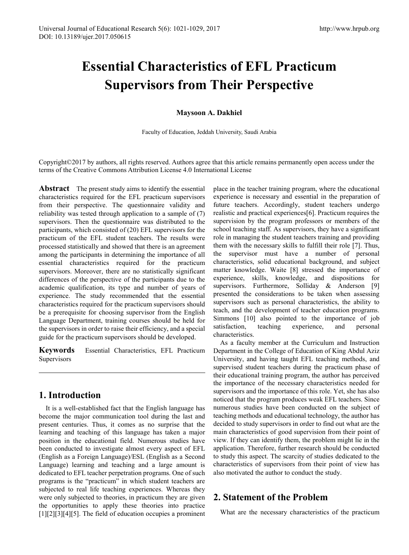# **Essential Characteristics of EFL Practicum Supervisors from Their Perspective**

## **Maysoon A. Dakhiel**

Faculty of Education, Jeddah University, Saudi Arabia

Copyright©2017 by authors, all rights reserved. Authors agree that this article remains permanently open access under the terms of the Creative Commons Attribution License 4.0 International License

**Abstract** The present study aims to identify the essential characteristics required for the EFL practicum supervisors from their perspective. The questionnaire validity and reliability was tested through application to a sample of (7) supervisors. Then the questionnaire was distributed to the participants, which consisted of (20) EFL supervisors for the practicum of the EFL student teachers. The results were processed statistically and showed that there is an agreement among the participants in determining the importance of all essential characteristics required for the practicum supervisors. Moreover, there are no statistically significant differences of the perspective of the participants due to the academic qualification, its type and number of years of experience. The study recommended that the essential characteristics required for the practicum supervisors should be a prerequisite for choosing supervisor from the English Language Department, training courses should be held for the supervisors in order to raise their efficiency, and a special guide for the practicum supervisors should be developed.

**Keywords** Essential Characteristics, EFL Practicum **Supervisors** 

# **1. Introduction**

It is a well-established fact that the English language has become the major communication tool during the last and present centuries. Thus, it comes as no surprise that the learning and teaching of this language has taken a major position in the educational field. Numerous studies have been conducted to investigate almost every aspect of EFL (English as a Foreign Language)/ESL (English as a Second Language) learning and teaching and a large amount is dedicated to EFL teacher perpetration programs. One of such programs is the "practicum" in which student teachers are subjected to real life teaching experiences. Whereas they were only subjected to theories, in practicum they are given the opportunities to apply these theories into practice [1][2][3][4][5]. The field of education occupies a prominent

place in the teacher training program, where the educational experience is necessary and essential in the preparation of future teachers. Accordingly, student teachers undergo realistic and practical experiences[6]. Practicum requires the supervision by the program professors or members of the school teaching staff. As supervisors, they have a significant role in managing the student teachers training and providing them with the necessary skills to fulfill their role [7]. Thus, the supervisor must have a number of personal characteristics, solid educational background, and subject matter knowledge. Waite [8] stressed the importance of experience, skills, knowledge, and dispositions for supervisors. Furthermore, Solliday & Anderson [9] presented the considerations to be taken when assessing supervisors such as personal characteristics, the ability to teach, and the development of teacher education programs. Simmons [10] also pointed to the importance of job satisfaction, teaching experience, and personal characteristics.

As a faculty member at the Curriculum and Instruction Department in the College of Education of King Abdul Aziz University, and having taught EFL teaching methods, and supervised student teachers during the practicum phase of their educational training program, the author has perceived the importance of the necessary characteristics needed for supervisors and the importance of this role. Yet, she has also noticed that the program produces weak EFL teachers. Since numerous studies have been conducted on the subject of teaching methods and educational technology, the author has decided to study supervisors in order to find out what are the main characteristics of good supervision from their point of view. If they can identify them, the problem might lie in the application. Therefore, further research should be conducted to study this aspect. The scarcity of studies dedicated to the characteristics of supervisors from their point of view has also motivated the author to conduct the study.

# **2. Statement of the Problem**

What are the necessary characteristics of the practicum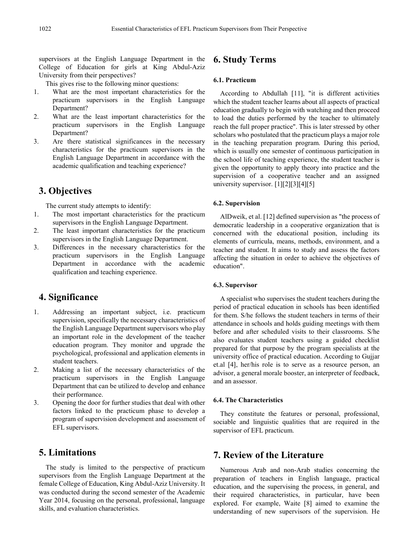supervisors at the English Language Department in the College of Education for girls at King Abdul-Aziz University from their perspectives?

This gives rise to the following minor questions:

- 1. What are the most important characteristics for the practicum supervisors in the English Language Department?
- 2. What are the least important characteristics for the practicum supervisors in the English Language Department?
- 3. Are there statistical significances in the necessary characteristics for the practicum supervisors in the English Language Department in accordance with the academic qualification and teaching experience?

## **3. Objectives**

The current study attempts to identify:

- 1. The most important characteristics for the practicum supervisors in the English Language Department.
- 2. The least important characteristics for the practicum supervisors in the English Language Department.
- 3. Differences in the necessary characteristics for the practicum supervisors in the English Language Department in accordance with the academic qualification and teaching experience.

## **4. Significance**

- 1. Addressing an important subject, i.e. practicum supervision, specifically the necessary characteristics of the English Language Department supervisors who play an important role in the development of the teacher education program. They monitor and upgrade the psychological, professional and application elements in student teachers.
- 2. Making a list of the necessary characteristics of the practicum supervisors in the English Language Department that can be utilized to develop and enhance their performance.
- 3. Opening the door for further studies that deal with other factors linked to the practicum phase to develop a program of supervision development and assessment of EFL supervisors.

# **5. Limitations**

The study is limited to the perspective of practicum supervisors from the English Language Department at the female College of Education, King Abdul-Aziz University. It was conducted during the second semester of the Academic Year 2014, focusing on the personal, professional, language skills, and evaluation characteristics.

# **6. Study Terms**

## **6.1. Practicum**

According to Abdullah [11], "it is different activities which the student teacher learns about all aspects of practical education gradually to begin with watching and then proceed to load the duties performed by the teacher to ultimately reach the full proper practice". This is later stressed by other scholars who postulated that the practicum plays a major role in the teaching preparation program. During this period, which is usually one semester of continuous participation in the school life of teaching experience, the student teacher is given the opportunity to apply theory into practice and the supervision of a cooperative teacher and an assigned university supervisor. [1][2][3][4][5]

#### **6.2. Supervision**

AlDweik, et al. [12] defined supervision as "the process of democratic leadership in a cooperative organization that is concerned with the educational position, including its elements of curricula, means, methods, environment, and a teacher and student. It aims to study and assess the factors affecting the situation in order to achieve the objectives of education".

## **6.3. Supervisor**

A specialist who supervises the student teachers during the period of practical education in schools has been identified for them. S/he follows the student teachers in terms of their attendance in schools and holds guiding meetings with them before and after scheduled visits to their classrooms. S/he also evaluates student teachers using a guided checklist prepared for that purpose by the program specialists at the university office of practical education. According to Gujjar et.al [4], her/his role is to serve as a resource person, an advisor, a general morale booster, an interpreter of feedback, and an assessor.

#### **6.4. The Characteristics**

They constitute the features or personal, professional, sociable and linguistic qualities that are required in the supervisor of EFL practicum.

# **7. Review of the Literature**

Numerous Arab and non-Arab studies concerning the preparation of teachers in English language, practical education, and the supervising the process, in general, and their required characteristics, in particular, have been explored. For example, Waite [8] aimed to examine the understanding of new supervisors of the supervision. He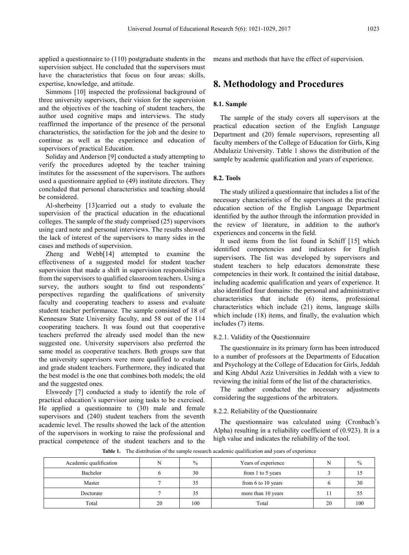applied a questionnaire to (110) postgraduate students in the supervision subject. He concluded that the supervisors must have the characteristics that focus on four areas: skills, expertise, knowledge, and attitude.

Simmons [10] inspected the professional background of three university supervisors, their vision for the supervision and the objectives of the teaching of student teachers, the author used cognitive maps and interviews. The study reaffirmed the importance of the presence of the personal characteristics, the satisfaction for the job and the desire to continue as well as the experience and education of supervisors of practical Education.

Soliday and Anderson [9] conducted a study attempting to verify the procedures adopted by the teacher training institutes for the assessment of the supervisors. The authors used a questionnaire applied to (49) institute directors. They concluded that personal characteristics and teaching should be considered.

Al-sherbeiny [13]carried out a study to evaluate the supervision of the practical education in the educational colleges. The sample of the study comprised (25) supervisors using card note and personal interviews. The results showed the lack of interest of the supervisors to many sides in the cases and methods of supervision.

Zheng and Webb[14] attempted to examine the effectiveness of a suggested model for student teacher supervision that made a shift in supervision responsibilities from the supervisors to qualified classroom teachers. Using a survey, the authors sought to find out respondents' perspectives regarding the qualifications of university faculty and cooperating teachers to assess and evaluate student teacher performance. The sample consisted of 18 of Kennesaw State University faculty, and 58 out of the 114 cooperating teachers. It was found out that cooperative teachers preferred the already used model than the new suggested one. University supervisors also preferred the same model as cooperative teachers. Both groups saw that the university supervisors were more qualified to evaluate and grade student teachers. Furthermore, they indicated that the best model is the one that combines both models; the old and the suggested ones.

Elsweedy [7] conducted a study to identify the role of practical education's supervisor using tasks to be exercised. He applied a questionnaire to (30) male and female supervisors and (240) student teachers from the seventh academic level. The results showed the lack of the attention of the supervisors in working to raise the professional and practical competence of the student teachers and to the means and methods that have the effect of supervision.

## **8. Methodology and Procedures**

#### **8.1. Sample**

The sample of the study covers all supervisors at the practical education section of the English Language Department and (20) female supervisors, representing all faculty members of the College of Education for Girls, King Abdulaziz University. Table 1 shows the distribution of the sample by academic qualification and years of experience.

#### **8.2. Tools**

The study utilized a questionnaire that includes a list of the necessary characteristics of the supervisors at the practical education section of the English Language Department identified by the author through the information provided in the review of literature, in addition to the author's experiences and concerns in the field.

It used items from the list found in Schiff [15] which identified competencies and indicators for English supervisors. The list was developed by supervisors and student teachers to help educators demonstrate these competencies in their work. It contained the initial database, including academic qualification and years of experience. It also identified four domains: the personal and administrative characteristics that include (6) items, professional characteristics which include (21) items, language skills which include (18) items, and finally, the evaluation which includes (7) items.

#### 8.2.1. Validity of the Questionnaire

The questionnaire in its primary form has been introduced to a number of professors at the Departments of Education and Psychology at the College of Education for Girls, Jeddah and King Abdul Aziz Universities in Jeddah with a view to reviewing the initial form of the list of the characteristics.

The author conducted the necessary adjustments considering the suggestions of the arbitrators.

#### 8.2.2. Reliability of the Questionnaire

The questionnaire was calculated using (Cronbach's Alpha) resulting in a reliability coefficient of (0.923). It is a high value and indicates the reliability of the tool.

Academic qualification N % Years of experience N % Bachelor 6 30 from 1 to 5 years 3 15 Master  $\begin{array}{|c|c|c|c|c|c|c|c|} \hline \end{array}$  7  $\begin{array}{|c|c|c|c|c|c|c|c|} \hline \end{array}$  50 from 6 to 10 years  $\begin{array}{|c|c|c|c|c|c|c|c|} \hline \end{array}$  6 30 Doctorate 7 35 more than 10 years 11 55 Total 100 100 Total 20 100

**Table 1.** The distribution of the sample research academic qualification and years of experience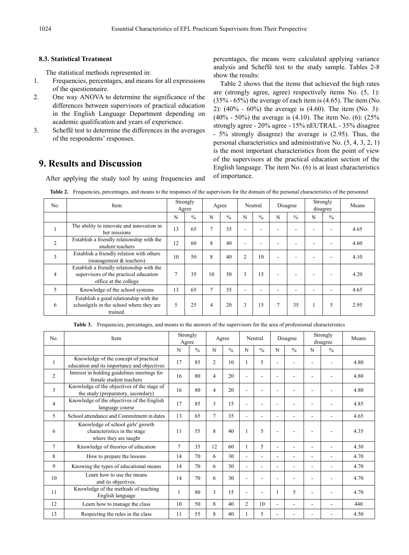### **8.3. Statistical Treatment**

The statistical methods represented in:

- 1. Frequencies, percentages, and means for all expressions of the questionnaire.
- 2. One way ANOVA to determine the significance of the differences between supervisors of practical education in the English Language Department depending on academic qualification and years of experience.
- 3. Scheffé test to determine the differences in the averages of the respondents' responses.

# **9. Results and Discussion**

After applying the study tool by using frequencies and

percentages, the means were calculated applying variance analysis and Scheffé test to the study sample. Tables 2-8 show the results:

Table 2 shows that the items that achieved the high rates are (strongly agree, agree) respectively items No. (5, 1): (35% - 65%) the average of each item is (4.65). The item (No. 2): (40% - 60%) the average is (4.60). The item (No. 3): (40% - 50%) the average is (4.10). The item No. (6):  $(25\%$ strongly agree - 20% agree - 15% nEUTRAL - 35% disagree - 5% strongly disagree) the average is (2.95). Thus, the personal characteristics and administrative No. (5, 4, 3, 2, 1) is the most important characteristics from the point of view of the supervisors at the practical education section of the English language. The item No. (6) is at least characteristics of importance.

| No. | Item                                                                                                          | Strongly<br>Agree |               | Agree          |               | Neutral        |               | Disagree |               | Strongly<br>disagree |               | Means |
|-----|---------------------------------------------------------------------------------------------------------------|-------------------|---------------|----------------|---------------|----------------|---------------|----------|---------------|----------------------|---------------|-------|
|     |                                                                                                               | N                 | $\frac{0}{0}$ | N              | $\frac{0}{0}$ | N              | $\frac{0}{0}$ | N        | $\frac{0}{0}$ | N                    | $\frac{0}{0}$ |       |
|     | The ability to innovate and innovation in<br>her missions                                                     | 13                | 65            | $\overline{7}$ | 35            | ۰              |               |          |               |                      |               | 4.65  |
| 2   | Establish a friendly relationship with the<br>student teachers                                                | 12                | 60            | 8              | 40            | ۰              |               |          |               |                      |               | 4.60  |
| 3   | Establish a friendly relation with others<br>(management & teachers)                                          | 10                | 50            | 8              | 40            | $\overline{2}$ | 10            |          |               |                      |               | 4.10  |
| 4   | Establish a friendly relationship with the<br>supervisors of the practical education<br>office at the college | $\overline{7}$    | 35            | 10             | 50            | 3              | 15            |          |               |                      |               | 4.20  |
| 5   | Knowledge of the school systems                                                                               | 13                | 65            | 7              | 35            | ۰              |               |          |               |                      |               | 4.65  |
| 6   | Establish a good relationship with the<br>schoolgirls in the school where they are<br>trained.                | 5                 | 25            | 4              | 20            | 3              | 15            |          | 35            |                      | 5             | 2.95  |

Table 2. Frequencies, percentages, and means to the responses of the supervisors for the domain of the personal characteristics of the personnel

**Table 3.** Frequencies, percentages, and means to the answers of the supervisors for the area of professional characteristics

| N <sub>0</sub> | Item                                                                                       | Strongly<br>Agree |               |                | Agree         |                | Neutral       |   | Disagree      |   | Strongly<br>disagree | Means |
|----------------|--------------------------------------------------------------------------------------------|-------------------|---------------|----------------|---------------|----------------|---------------|---|---------------|---|----------------------|-------|
|                |                                                                                            | N                 | $\frac{0}{0}$ | N              | $\frac{0}{0}$ | N              | $\frac{0}{0}$ | N | $\frac{0}{0}$ | N | $\frac{0}{0}$        |       |
| 1              | Knowledge of the concept of practical<br>education and its importance and objectives       | 17                | 85            | $\overline{2}$ | 10            |                | 5             |   |               |   |                      | 4.80  |
| $\overline{2}$ | Interest in holding guidelines meetings for<br>female student teachers                     | 16                | 80            | $\overline{4}$ | 20            |                |               |   |               |   |                      | 4.80  |
| 3              | Knowledge of the objectives of the stage of<br>the study (preparatory, secondary)          | 16                | 80            | $\overline{4}$ | 20            |                |               |   |               |   |                      | 4.80  |
| 4              | Knowledge of the objectives of the English<br>language course                              | 17                | 85            | 3              | 15            |                |               |   |               |   |                      | 4.85  |
| 5              | School attendance and Commitment in dates                                                  | 13                | 65            | $\overline{7}$ | 35            | ۰              | ۰             |   | ٠             | ٠ | ۰                    | 4.65  |
| 6              | Knowledge of school girls' growth<br>characteristics in the stage<br>where they are taught | 11                | 55            | 8              | 40            |                | 5             |   |               |   |                      | 4.35  |
| $\overline{7}$ | Knowledge of theories of education                                                         | $\overline{7}$    | 35            | 12             | 60            |                | 5             |   | ۰             | ۰ | L.                   | 4.30  |
| 8              | How to prepare the lessons                                                                 | 14                | 70            | 6              | 30            | ٠              | ۰             | ۰ | ٠             | ۰ | ۰                    | 4.70  |
| 9              | Knowing the types of educational means                                                     | 14                | 70            | 6              | 30            | ٠              | ۰             |   | ٠             | ۰ | ۰                    | 4.70  |
| 10             | Learn how to use the means<br>and its objectives.                                          | 14                | 70            | 6              | 30            |                |               |   |               |   |                      | 4.70  |
| 11             | Knowledge of the methods of teaching<br>English language                                   | 1                 | 80            | 3              | 15            | ٠              |               |   | 5             |   |                      | 4.70  |
| 12             | Learn how to manage the class                                                              | 10                | 50            | 8              | 40            | $\overline{c}$ | 10            |   | ۰             |   |                      | 440   |
| 13             | Respecting the rules in the class                                                          | 11                | 55            | 8              | 40            |                | 5             |   |               |   |                      | 4.50  |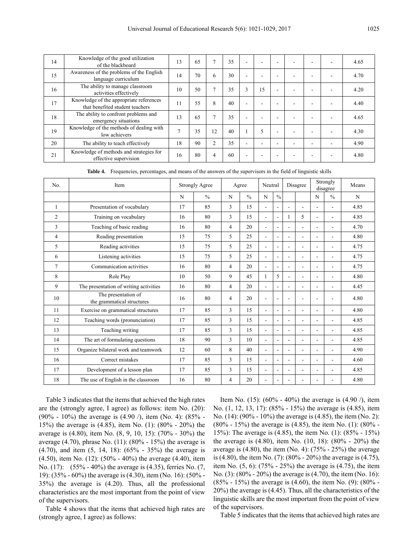| 14 | Knowledge of the good utilization<br>of the blackboard                     | 13 | 65 | $\mathcal{I}$  | 35 | $\overline{\phantom{a}}$ | ۰  |  |  | 4.65 |
|----|----------------------------------------------------------------------------|----|----|----------------|----|--------------------------|----|--|--|------|
| 15 | Awareness of the problems of the English<br>language curriculum            | 14 | 70 | 6              | 30 | ۰                        | ۰  |  |  | 4.70 |
| 16 | The ability to manage classroom<br>activities effectively                  | 10 | 50 | $\overline{7}$ | 35 | 3                        | 15 |  |  | 4.20 |
| 17 | Knowledge of the appropriate references<br>that benefited student teachers | 11 | 55 | 8              | 40 | ۰                        |    |  |  | 4.40 |
| 18 | The ability to confront problems and<br>emergency situations               | 13 | 65 | $\overline{7}$ | 35 | ۰                        | ۰  |  |  | 4.65 |
| 19 | Knowledge of the methods of dealing with<br>low achievers                  | ⇁  | 35 | 12             | 40 |                          | 5  |  |  | 4.30 |
| 20 | The ability to teach effectively                                           | 18 | 90 | $\overline{2}$ | 35 | ۰                        |    |  |  | 4.90 |
| 21 | Knowledge of methods and strategies for<br>effective supervision           | 16 | 80 | $\overline{4}$ | 60 | -                        |    |  |  | 4.80 |

**Table 4.** Frequencies, percentages, and means of the answers of the supervisors in the field of linguistic skills

| No.            | Item                                              |    | <b>Strongly Agree</b> |   | Agree         |                          | Neutral                  |                          | Disagree       |   | Strongly<br>disagree | Means |
|----------------|---------------------------------------------------|----|-----------------------|---|---------------|--------------------------|--------------------------|--------------------------|----------------|---|----------------------|-------|
|                |                                                   | N  | $\frac{0}{0}$         | N | $\frac{0}{0}$ | N                        | $\frac{0}{0}$            |                          |                | N | $\frac{0}{0}$        | N     |
| 1              | Presentation of vocabulary                        | 17 | 85                    | 3 | 15            | $\blacksquare$           | $\overline{\phantom{a}}$ | $\sim$                   | $\overline{a}$ |   | ÷.                   | 4.85  |
| $\overline{2}$ | Training on vocabulary                            | 16 | 80                    | 3 | 15            | $\mathbf{r}$             | $\sim$                   | 1                        | 5              |   | ۳                    | 4.85  |
| 3              | Teaching of basic reading                         | 16 | 80                    | 4 | 20            | $\blacksquare$           | ÷                        |                          | ÷.             |   |                      | 4.70  |
| 4              | Reading presentation                              | 15 | 75                    | 5 | 25            | $\blacksquare$           | $\overline{\phantom{a}}$ | $\overline{\phantom{a}}$ | ä,             |   | ٠                    | 4.80  |
| 5              | Reading activities                                | 15 | 75                    | 5 | 25            | $\sim$                   | ÷                        | $\sim$                   | ÷.             |   |                      | 4.75  |
| 6              | Listening activities                              | 15 | 75                    | 5 | 25            | $\blacksquare$           | $\sim$                   | $\overline{a}$           | ÷              | ٠ | ۰                    | 4.75  |
| 7              | Communication activities                          | 16 | 80                    | 4 | 20            | $\blacksquare$           | $\overline{\phantom{a}}$ | $\overline{\phantom{a}}$ | $\overline{a}$ | ۰ | ۰                    | 4.75  |
| 8              | Role Play                                         | 10 | 50                    | 9 | 45            | 1                        | 5                        | $\sim$                   | ۰              |   |                      | 4.80  |
| 9              | The presentation of writing activities            | 16 | 80                    | 4 | 20            | $\overline{\phantom{a}}$ | $\blacksquare$           | $\sim$                   | ÷.             |   | ä,                   | 4.45  |
| 10             | The presentation of<br>the grammatical structures | 16 | 80                    | 4 | 20            | $\sim$                   | ÷                        | ÷.                       | ä,             |   | ٠                    | 4.80  |
| 11             | Exercise on grammatical structures                | 17 | 85                    | 3 | 15            | $\blacksquare$           | $\overline{\phantom{a}}$ | $\overline{\phantom{a}}$ | ۰              | ۰ | ۰                    | 4.80  |
| 12             | Teaching words (pronunciation)                    | 17 | 85                    | 3 | 15            | $\mathbf{r}$             | ÷                        | ÷.                       | ä,             |   |                      | 4.85  |
| 13             | Teaching writing                                  | 17 | 85                    | 3 | 15            | $\blacksquare$           | $\blacksquare$           | $\sim$                   | ÷              | ٠ | ٠                    | 4.85  |
| 14             | The art of formulating questions                  | 18 | 90                    | 3 | 10            | $\blacksquare$           | ۰                        | ÷                        | ۰              |   |                      | 4.85  |
| 15             | Organize bilateral work and teamwork              | 12 | 60                    | 8 | 40            | $\mathbf{r}$             | $\blacksquare$           | $\blacksquare$           | ÷.             |   |                      | 4.90  |
| 16             | Correct mistakes                                  | 17 | 85                    | 3 | 15            | $\overline{\phantom{a}}$ | $\sim$                   | $\sim$                   | ÷.             | ۰ | ä,                   | 4.60  |
| 17             | Development of a lesson plan                      | 17 | 85                    | 3 | 15            | $\blacksquare$           | $\overline{\phantom{a}}$ | $\overline{\phantom{a}}$ | ۰              |   |                      | 4.85  |
| 18             | The use of English in the classroom               | 16 | 80                    | 4 | 20            | $\overline{a}$           | ۰                        | $\overline{a}$           | -              |   |                      | 4.80  |

Table 3 indicates that the items that achieved the high rates are the (strongly agree, I agree) as follows: item No. (20): (90% - 10%) the average is (4.90 /), item (No. 4): (85% - 15%) the average is (4.85), item No. (1): (80% - 20%) the average is (4.80), item No. (8, 9, 10, 15): (70% - 30%) the average (4.70), phrase No. (11): (80% - 15%) the average is (4.70), and item (5, 14, 18): (65% - 35%) the average is (4.50), item No. (12): (50% - 40%) the average (4.40), item No. (17): (55% - 40%) the average is (4.35), ferries No. (7, 19): (35% - 60%) the average is (4.30), item (No. 16): (50% - 35%) the average is (4.20). Thus, all the professional characteristics are the most important from the point of view of the supervisors.

Table 4 shows that the items that achieved high rates are (strongly agree, I agree) as follows:

Item No. (15): (60% - 40%) the average is (4.90  $\ell$ ), item No. (1, 12, 13, 17): (85% - 15%) the average is (4.85), item No. (14): (90% - 10%) the average is (4.85), the item (No. 2): (80% - 15%) the average is (4.85), the item No. (1): (80% - 15%): The average is (4.85), the item No. (1): (85% - 15%) the average is (4.80), item No. (10, 18): (80% - 20%) the average is  $(4.80)$ , the item (No. 4):  $(75\% - 25\%)$  the average is (4.80), the item No. (7): (80% - 20%) the average is (4.75), item No. (5, 6): (75% - 25%) the average is (4.75), the item No. (3): (80% - 20%) the average is (4.70), the item (No. 16): (85% - 15%) the average is (4.60), the item No. (9): (80% - 20%) the average is (4.45). Thus, all the characteristics of the linguistic skills are the most important from the point of view of the supervisors.

Table 5 indicates that the items that achieved high rates are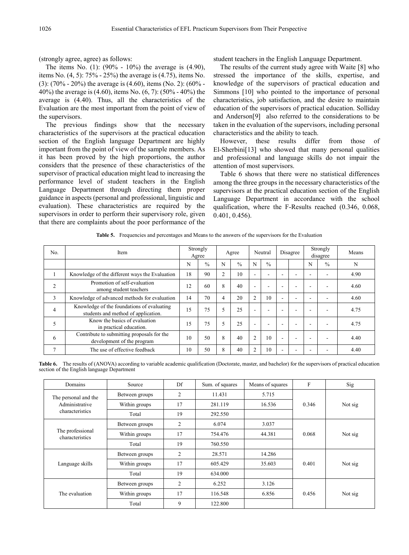(strongly agree, agree) as follows:

The items No. (1): (90% - 10%) the average is (4.90), items No. (4, 5): 75% - 25%) the average is (4.75), items No. (3):  $(70\% - 20\%)$  the average is  $(4.60)$ , items  $(N_0, 2)$ :  $(60\% -$ 40%) the average is (4.60), items No. (6, 7): (50% - 40%) the average is (4.40). Thus, all the characteristics of the Evaluation are the most important from the point of view of the supervisors.

The previous findings show that the necessary characteristics of the supervisors at the practical education section of the English language Department are highly important from the point of view of the sample members. As it has been proved by the high proportions, the author considers that the presence of these characteristics of the supervisor of practical education might lead to increasing the performance level of student teachers in the English Language Department through directing them proper guidance in aspects (personal and professional, linguistic and evaluation). These characteristics are required by the supervisors in order to perform their supervisory role, given that there are complaints about the poor performance of the student teachers in the English Language Department.

The results of the current study agree with Waite [8] who stressed the importance of the skills, expertise, and knowledge of the supervisors of practical education and Simmons [10] who pointed to the importance of personal characteristics, job satisfaction, and the desire to maintain education of the supervisors of practical education. Solliday and Anderson[9] also referred to the considerations to be taken in the evaluation of the supervisors, including personal characteristics and the ability to teach.

However, these results differ from those of El-Sherbini[13] who showed that many personal qualities and professional and language skills do not impair the attention of most supervisors.

Table 6 shows that there were no statistical differences among the three groups in the necessary characteristics of the supervisors at the practical education section of the English Language Department in accordance with the school qualification, where the F-Results reached (0.346, 0.068, 0.401, 0.456).

| No.            | Item                                                                              |    | Strongly<br>Agree |                | Agree         |                | Neutral       |   | Disagree |   | Strongly<br>disagree | Means |
|----------------|-----------------------------------------------------------------------------------|----|-------------------|----------------|---------------|----------------|---------------|---|----------|---|----------------------|-------|
|                |                                                                                   | N  | $\frac{0}{0}$     | N              | $\frac{0}{0}$ | N              | $\frac{0}{0}$ |   |          | N | $\frac{0}{0}$        | N     |
|                | Knowledge of the different ways the Evaluation                                    | 18 | 90                | $\overline{2}$ | 10            | ۰              | ۰             |   |          |   |                      | 4.90  |
| $\overline{2}$ | Promotion of self-evaluation<br>among student teachers                            | 12 | 60                | 8              | 40            | $\overline{a}$ | ۰             |   |          |   |                      | 4.60  |
| 3              | Knowledge of advanced methods for evaluation                                      | 14 | 70                | $\overline{4}$ | 20            | $\overline{2}$ | 10            |   |          |   |                      | 4.60  |
| 4              | Knowledge of the foundations of evaluating<br>students and method of application. | 15 | 75                | 5              | 25            | ۰              | ۰             |   |          |   |                      | 4.75  |
| 5              | Know the basics of evaluation<br>in practical education.                          | 15 | 75                | 5              | 25            | ۰              | ۰             | ۰ |          |   |                      | 4.75  |
| 6              | Contribute to submitting proposals for the<br>development of the program          | 10 | 50                | 8              | 40            | $\overline{2}$ | 10            |   |          |   |                      | 4.40  |
| $\overline{7}$ | The use of effective feedback                                                     | 10 | 50                | 8              | 40            | $\overline{2}$ | 10            |   |          |   |                      | 4.40  |

**Table 5.** Frequencies and percentages and Means to the answers of the supervisors for the Evaluation

**Table 6.** The results of (ANOVA) according to variable academic qualification (Doctorate, master, and bachelor) for the supervisors of practical education section of the English language Department

| Domains                             | Source         | Df | Sum. of squares | Means of squares | F     | Sig     |  |
|-------------------------------------|----------------|----|-----------------|------------------|-------|---------|--|
| The personal and the                | Between groups | 2  | 11.431          | 5.715            |       |         |  |
| Administrative                      | Within groups  | 17 | 281.119         | 16.536           | 0.346 | Not sig |  |
| characteristics                     | Total          | 19 | 292.550         |                  |       |         |  |
|                                     | Between groups | 2  | 6.074           | 3.037            |       |         |  |
| The professional<br>characteristics | Within groups  | 17 | 754.476         | 44.381           | 0.068 | Not sig |  |
|                                     | Total          | 19 | 760.550         |                  |       |         |  |
|                                     | Between groups | 2  | 28.571          | 14.286           |       |         |  |
| Language skills                     | Within groups  | 17 | 605.429         | 35.603           | 0.401 | Not sig |  |
|                                     | Total          | 19 | 634.000         |                  |       |         |  |
|                                     | Between groups | 2  | 6.252           | 3.126            |       |         |  |
| The evaluation                      | Within groups  | 17 | 116.548         | 6.856            | 0.456 | Not sig |  |
|                                     | Total          | 9  | 122.800         |                  |       |         |  |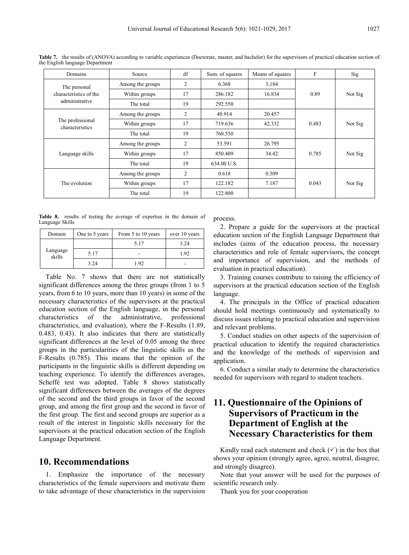| Domains                             | Source                                   | df | Sum. of squares | Means of squares | $\mathbf F$ | Sig     |  |
|-------------------------------------|------------------------------------------|----|-----------------|------------------|-------------|---------|--|
| The personal                        | Among the groups                         | 2  | 6.368           | 3,184            |             |         |  |
| characteristics of the              | Within groups                            | 17 | 286.182         | 16.834           | 0.89        | Not Sig |  |
| administrative                      | The total                                | 19 | 292.550         |                  |             |         |  |
|                                     | Among the groups                         | 2  | 40.914          | 20.457           |             |         |  |
| The professional<br>characteristics | 17<br>Within groups<br>719.636<br>42.332 |    | 0.483           | Not Sig          |             |         |  |
|                                     | 19<br>760.550<br>The total               |    |                 |                  |             |         |  |
|                                     | Among the groups                         | 2  | 53.591          | 26.795           |             |         |  |
| Language skills                     | Within groups                            | 17 | 850.409         | 34.42            | 0.785       | Not Sig |  |
|                                     | The total                                | 19 | 634.00 U.S.     |                  |             |         |  |
|                                     | Among the groups                         | 2  | 0.618           | 0.309            |             |         |  |
| The evolution                       | Within groups                            | 17 | 122.182         | 7.187            | 0.043       | Not Sig |  |
|                                     | The total                                | 19 | 122.800         |                  |             |         |  |

**Table 7.** the results of (ANOVA) according to variable experiences (Doctorate, master, and bachelor) for the supervisors of practical education section of the English language Department

**Table 8.** results of testing the average of expertise in the domain of Language Skills

| Domain             | One to 5 years | From 5 to 10 years | over 10 years |
|--------------------|----------------|--------------------|---------------|
|                    |                | 5.17               | 3.24          |
| Language<br>skills | 5.17           |                    | 1.92          |
|                    | 3.24           | 192                |               |

Table No. 7 shows that there are not statistically significant differences among the three groups (from 1 to 5 years, from 6 to 10 years, more than 10 years) in some of the necessary characteristics of the supervisors at the practical education section of the English language, in the personal characteristics of the administrative, professional characteristics, and evaluation), where the F-Results (1.89, 0.483, 0.43). It also indicates that there are statistically significant differences at the level of 0.05 among the three groups in the particularities of the linguistic skills as the F-Results (0.785). This means that the opinion of the participants in the linguistic skills is different depending on teaching experience. To identify the differences averages, Scheffé test was adopted. Table 8 shows statistically significant differences between the averages of the degrees of the second and the third groups in favor of the second group, and among the first group and the second in favor of the first group. The first and second groups are superior as a result of the interest in linguistic skills necessary for the supervisors at the practical education section of the English Language Department.

## **10. Recommendations**

1. Emphasize the importance of the necessary characteristics of the female supervisors and motivate them to take advantage of these characteristics in the supervision process.

2. Prepare a guide for the supervisors at the practical education section of the English Language Department that includes (aims of the education process, the necessary characteristics and role of female supervisors, the concept and importance of supervision, and the methods of evaluation in practical education).

3. Training courses contribute to raising the efficiency of supervisors at the practical education section of the English language.

4. The principals in the Office of practical education should hold meetings continuously and systematically to discuss issues relating to practical education and supervision and relevant problems.

5. Conduct studies on other aspects of the supervision of practical education to identify the required characteristics and the knowledge of the methods of supervision and application.

6. Conduct a similar study to determine the characteristics needed for supervisors with regard to student teachers.

# **11. Questionnaire of the Opinions of Supervisors of Practicum in the Department of English at the Necessary Characteristics for them**

Kindly read each statement and check  $(\checkmark)$  in the box that shows your opinion (strongly agree, agree, neutral, disagree, and strongly disagree).

Note that your answer will be used for the purposes of scientific research only.

Thank you for your cooperation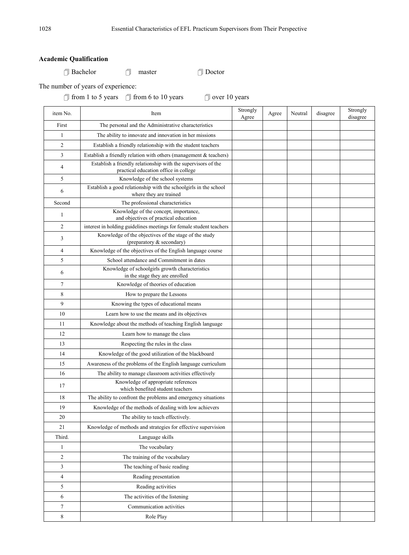## **Academic Qualification**

Bachelor master Doctor

The number of years of experience:

 $\Box$  from 1 to 5 years  $\Box$  from 6 to 10 years  $\Box$  over 10 years

| item No.       | Item                                                                                                   | Strongly<br>Agree | Agree | Neutral | disagree | Strongly<br>disagree |
|----------------|--------------------------------------------------------------------------------------------------------|-------------------|-------|---------|----------|----------------------|
| First          | The personal and the Administrative characteristics                                                    |                   |       |         |          |                      |
| 1              | The ability to innovate and innovation in her missions                                                 |                   |       |         |          |                      |
| $\overline{c}$ | Establish a friendly relationship with the student teachers                                            |                   |       |         |          |                      |
| 3              | Establish a friendly relation with others (management $&$ teachers)                                    |                   |       |         |          |                      |
| 4              | Establish a friendly relationship with the supervisors of the<br>practical education office in college |                   |       |         |          |                      |
| 5              | Knowledge of the school systems                                                                        |                   |       |         |          |                      |
| 6              | Establish a good relationship with the schoolgirls in the school<br>where they are trained             |                   |       |         |          |                      |
| Second         | The professional characteristics                                                                       |                   |       |         |          |                      |
| 1              | Knowledge of the concept, importance,<br>and objectives of practical education                         |                   |       |         |          |                      |
| 2              | interest in holding guidelines meetings for female student teachers                                    |                   |       |         |          |                      |
| 3              | Knowledge of the objectives of the stage of the study<br>(preparatory & secondary)                     |                   |       |         |          |                      |
| 4              | Knowledge of the objectives of the English language course                                             |                   |       |         |          |                      |
| 5              | School attendance and Commitment in dates                                                              |                   |       |         |          |                      |
| 6              | Knowledge of schoolgirls growth characteristics<br>in the stage they are enrolled                      |                   |       |         |          |                      |
| 7              | Knowledge of theories of education                                                                     |                   |       |         |          |                      |
| 8              | How to prepare the Lessons                                                                             |                   |       |         |          |                      |
| 9              | Knowing the types of educational means                                                                 |                   |       |         |          |                      |
| 10             | Learn how to use the means and its objectives                                                          |                   |       |         |          |                      |
| 11             | Knowledge about the methods of teaching English language                                               |                   |       |         |          |                      |
| 12             | Learn how to manage the class                                                                          |                   |       |         |          |                      |
| 13             | Respecting the rules in the class                                                                      |                   |       |         |          |                      |
| 14             | Knowledge of the good utilization of the blackboard                                                    |                   |       |         |          |                      |
| 15             | Awareness of the problems of the English language curriculum                                           |                   |       |         |          |                      |
| 16             | The ability to manage classroom activities effectively                                                 |                   |       |         |          |                      |
| 17             | Knowledge of appropriate references<br>which benefited student teachers                                |                   |       |         |          |                      |
| 18             | The ability to confront the problems and emergency situations                                          |                   |       |         |          |                      |
| 19             | Knowledge of the methods of dealing with low achievers                                                 |                   |       |         |          |                      |
| 20             | The ability to teach effectively.                                                                      |                   |       |         |          |                      |
| 21             | Knowledge of methods and strategies for effective supervision                                          |                   |       |         |          |                      |
| Third.         | Language skills                                                                                        |                   |       |         |          |                      |
| 1              | The vocabulary                                                                                         |                   |       |         |          |                      |
| 2              | The training of the vocabulary                                                                         |                   |       |         |          |                      |
| 3              | The teaching of basic reading                                                                          |                   |       |         |          |                      |
| 4              | Reading presentation                                                                                   |                   |       |         |          |                      |
| 5              | Reading activities                                                                                     |                   |       |         |          |                      |
| 6              | The activities of the listening                                                                        |                   |       |         |          |                      |
| 7              | Communication activities                                                                               |                   |       |         |          |                      |
| 8              | Role Play                                                                                              |                   |       |         |          |                      |
|                |                                                                                                        |                   |       |         |          |                      |